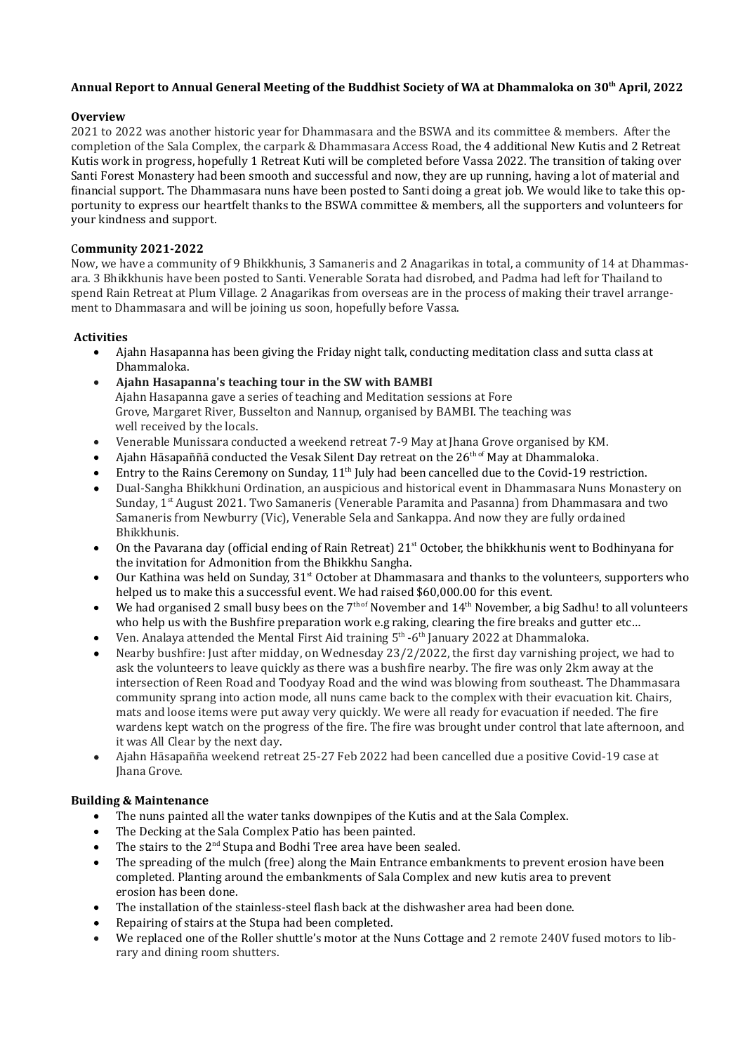# Annual Report to Annual General Meeting of the Buddhist Society of WA at Dhammaloka on 30<sup>th</sup> April, 2022

# Overview

2021 to 2022 was another historic year for Dhammasara and the BSWA and its committee & members. After the completion of the Sala Complex, the carpark & Dhammasara Access Road, the 4 additional New Kutis and 2 Retreat Kutis work in progress, hopefully 1 Retreat Kuti will be completed before Vassa 2022. The transition of taking over Santi Forest Monastery had been smooth and successful and now, they are up running, having a lot of material and financial support. The Dhammasara nuns have been posted to Santi doing a great job. We would like to take this opportunity to express our heartfelt thanks to the BSWA committee & members, all the supporters and volunteers for your kindness and support.

# Community 2021-2022

Now, we have a community of 9 Bhikkhunis, 3 Samaneris and 2 Anagarikas in total, a community of 14 at Dhammasara. 3 Bhikkhunis have been posted to Santi. Venerable Sorata had disrobed, and Padma had left for Thailand to spend Rain Retreat at Plum Village. 2 Anagarikas from overseas are in the process of making their travel arrangement to Dhammasara and will be joining us soon, hopefully before Vassa.

### Activities

- Ajahn Hasapanna has been giving the Friday night talk, conducting meditation class and sutta class at Dhammaloka.
- Ajahn Hasapanna's teaching tour in the SW with BAMBI Ajahn Hasapanna gave a series of teaching and Meditation sessions at Fore Grove, Margaret River, Busselton and Nannup, organised by BAMBI. The teaching was well received by the locals.
- Venerable Munissara conducted a weekend retreat 7-9 May at Jhana Grove organised by KM.
- Ajahn Hāsapaññā conducted the Vesak Silent Day retreat on the  $26<sup>th of</sup>$  May at Dhammaloka.
- Entry to the Rains Ceremony on Sunday, 11<sup>th</sup> July had been cancelled due to the Covid-19 restriction.
- Dual-Sangha Bhikkhuni Ordination, an auspicious and historical event in Dhammasara Nuns Monastery on Sunday, 1st August 2021. Two Samaneris (Venerable Paramita and Pasanna) from Dhammasara and two Samaneris from Newburry (Vic), Venerable Sela and Sankappa. And now they are fully ordained Bhikkhunis.
- On the Pavarana day (official ending of Rain Retreat)  $21<sup>st</sup>$  October, the bhikkhunis went to Bodhinyana for the invitation for Admonition from the Bhikkhu Sangha.
- Our Kathina was held on Sunday, 31<sup>st</sup> October at Dhammasara and thanks to the volunteers, supporters who helped us to make this a successful event. We had raised \$60,000.00 for this event.
- $\bullet$  We had organised 2 small busy bees on the  $7<sup>th of</sup>$  November and  $14<sup>th</sup>$  November, a big Sadhu! to all volunteers who help us with the Bushfire preparation work e.g raking, clearing the fire breaks and gutter etc...
- Ven. Analaya attended the Mental First Aid training  $5<sup>th</sup>$  -6<sup>th</sup> January 2022 at Dhammaloka.
- Nearby bushfire: Just after midday, on Wednesday 23/2/2022, the first day varnishing project, we had to ask the volunteers to leave quickly as there was a bushfire nearby. The fire was only 2km away at the intersection of Reen Road and Toodyay Road and the wind was blowing from southeast. The Dhammasara community sprang into action mode, all nuns came back to the complex with their evacuation kit. Chairs, mats and loose items were put away very quickly. We were all ready for evacuation if needed. The fire wardens kept watch on the progress of the fire. The fire was brought under control that late afternoon, and it was All Clear by the next day.
- Ajahn Hāsapañña weekend retreat 25-27 Feb 2022 had been cancelled due a positive Covid-19 case at Jhana Grove.

#### Building & Maintenance

- The nuns painted all the water tanks downpipes of the Kutis and at the Sala Complex.
- The Decking at the Sala Complex Patio has been painted.
- $\bullet$  The stairs to the 2<sup>nd</sup> Stupa and Bodhi Tree area have been sealed.
- The spreading of the mulch (free) along the Main Entrance embankments to prevent erosion have been completed. Planting around the embankments of Sala Complex and new kutis area to prevent erosion has been done.
- The installation of the stainless-steel flash back at the dishwasher area had been done.
- Repairing of stairs at the Stupa had been completed.
- We replaced one of the Roller shuttle's motor at the Nuns Cottage and 2 remote 240V fused motors to library and dining room shutters.